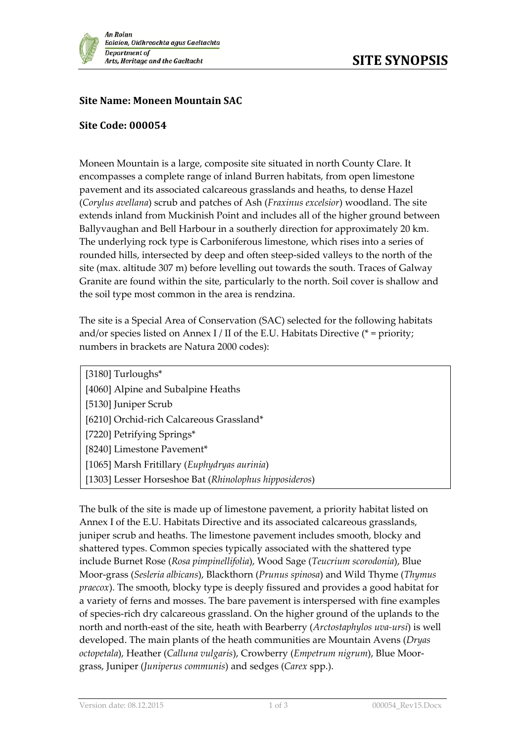

## **Site Name: Moneen Mountain SAC**

## **Site Code: 000054**

Moneen Mountain is a large, composite site situated in north County Clare. It encompasses a complete range of inland Burren habitats, from open limestone pavement and its associated calcareous grasslands and heaths, to dense Hazel (*Corylus avellana*) scrub and patches of Ash (*Fraxinus excelsior*) woodland. The site extends inland from Muckinish Point and includes all of the higher ground between Ballyvaughan and Bell Harbour in a southerly direction for approximately 20 km. The underlying rock type is Carboniferous limestone, which rises into a series of rounded hills, intersected by deep and often steep-sided valleys to the north of the site (max. altitude 307 m) before levelling out towards the south. Traces of Galway Granite are found within the site, particularly to the north. Soil cover is shallow and the soil type most common in the area is rendzina.

The site is a Special Area of Conservation (SAC) selected for the following habitats and/or species listed on Annex I / II of the E.U. Habitats Directive ( $*$  = priority; numbers in brackets are Natura 2000 codes):

[3180] Turloughs\* [4060] Alpine and Subalpine Heaths [5130] Juniper Scrub [6210] Orchid-rich Calcareous Grassland\* [7220] Petrifying Springs\* [8240] Limestone Pavement\* [1065] Marsh Fritillary (*Euphydryas aurinia*) [1303] Lesser Horseshoe Bat (*Rhinolophus hipposideros*)

The bulk of the site is made up of limestone pavement, a priority habitat listed on Annex I of the E.U. Habitats Directive and its associated calcareous grasslands, juniper scrub and heaths. The limestone pavement includes smooth, blocky and shattered types. Common species typically associated with the shattered type include Burnet Rose (*Rosa pimpinellifolia*), Wood Sage (*Teucrium scorodonia*), Blue Moor-grass (*Sesleria albicans*), Blackthorn (*Prunus spinosa*) and Wild Thyme (*Thymus praecox*). The smooth, blocky type is deeply fissured and provides a good habitat for a variety of ferns and mosses. The bare pavement is interspersed with fine examples of species-rich dry calcareous grassland. On the higher ground of the uplands to the north and north-east of the site, heath with Bearberry (*Arctostaphylos uva-ursi*) is well developed. The main plants of the heath communities are Mountain Avens (*Dryas octopetala*), Heather (*Calluna vulgaris*), Crowberry (*Empetrum nigrum*), Blue Moorgrass, Juniper (*Juniperus communis*) and sedges (*Carex* spp.).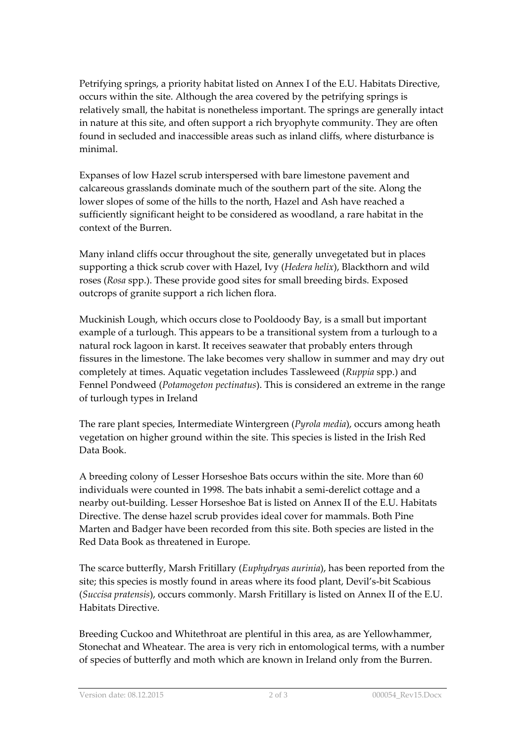Petrifying springs, a priority habitat listed on Annex I of the E.U. Habitats Directive, occurs within the site. Although the area covered by the petrifying springs is relatively small, the habitat is nonetheless important. The springs are generally intact in nature at this site, and often support a rich bryophyte community. They are often found in secluded and inaccessible areas such as inland cliffs, where disturbance is minimal.

Expanses of low Hazel scrub interspersed with bare limestone pavement and calcareous grasslands dominate much of the southern part of the site. Along the lower slopes of some of the hills to the north, Hazel and Ash have reached a sufficiently significant height to be considered as woodland, a rare habitat in the context of the Burren.

Many inland cliffs occur throughout the site, generally unvegetated but in places supporting a thick scrub cover with Hazel, Ivy (*Hedera helix*), Blackthorn and wild roses (*Rosa* spp.). These provide good sites for small breeding birds. Exposed outcrops of granite support a rich lichen flora.

Muckinish Lough, which occurs close to Pooldoody Bay, is a small but important example of a turlough. This appears to be a transitional system from a turlough to a natural rock lagoon in karst. It receives seawater that probably enters through fissures in the limestone. The lake becomes very shallow in summer and may dry out completely at times. Aquatic vegetation includes Tassleweed (*Ruppia* spp.) and Fennel Pondweed (*Potamogeton pectinatus*). This is considered an extreme in the range of turlough types in Ireland

The rare plant species, Intermediate Wintergreen (*Pyrola media*), occurs among heath vegetation on higher ground within the site. This species is listed in the Irish Red Data Book.

A breeding colony of Lesser Horseshoe Bats occurs within the site. More than 60 individuals were counted in 1998. The bats inhabit a semi-derelict cottage and a nearby out-building. Lesser Horseshoe Bat is listed on Annex II of the E.U. Habitats Directive. The dense hazel scrub provides ideal cover for mammals. Both Pine Marten and Badger have been recorded from this site. Both species are listed in the Red Data Book as threatened in Europe.

The scarce butterfly, Marsh Fritillary (*Euphydryas aurinia*), has been reported from the site; this species is mostly found in areas where its food plant, Devil's-bit Scabious (*Succisa pratensis*), occurs commonly. Marsh Fritillary is listed on Annex II of the E.U. Habitats Directive.

Breeding Cuckoo and Whitethroat are plentiful in this area, as are Yellowhammer, Stonechat and Wheatear. The area is very rich in entomological terms, with a number of species of butterfly and moth which are known in Ireland only from the Burren.